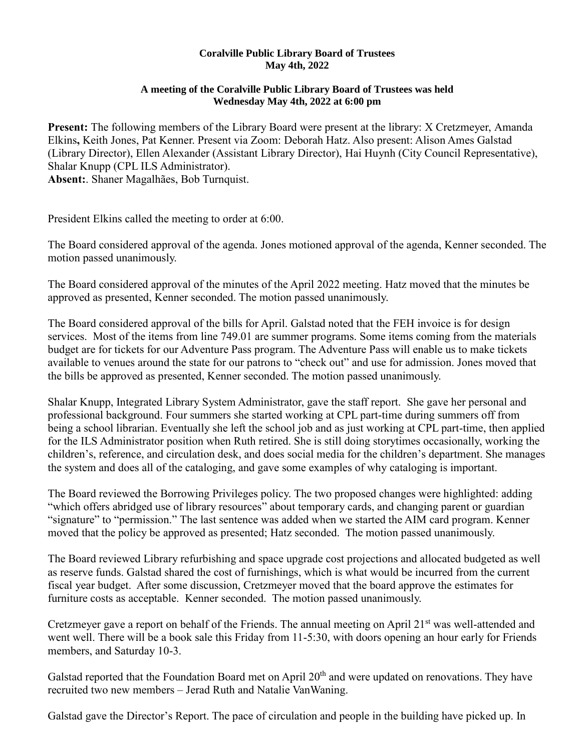## **Coralville Public Library Board of Trustees May 4th, 2022**

## **A meeting of the Coralville Public Library Board of Trustees was held Wednesday May 4th, 2022 at 6:00 pm**

**Present:** The following members of the Library Board were present at the library: X Cretzmeyer, Amanda Elkins**,** Keith Jones, Pat Kenner. Present via Zoom: Deborah Hatz. Also present: Alison Ames Galstad (Library Director), Ellen Alexander (Assistant Library Director), Hai Huynh (City Council Representative), Shalar Knupp (CPL ILS Administrator).

**Absent:**. Shaner Magalhães, Bob Turnquist.

President Elkins called the meeting to order at 6:00.

The Board considered approval of the agenda. Jones motioned approval of the agenda, Kenner seconded. The motion passed unanimously.

The Board considered approval of the minutes of the April 2022 meeting. Hatz moved that the minutes be approved as presented, Kenner seconded. The motion passed unanimously.

The Board considered approval of the bills for April. Galstad noted that the FEH invoice is for design services. Most of the items from line 749.01 are summer programs. Some items coming from the materials budget are for tickets for our Adventure Pass program. The Adventure Pass will enable us to make tickets available to venues around the state for our patrons to "check out" and use for admission. Jones moved that the bills be approved as presented, Kenner seconded. The motion passed unanimously.

Shalar Knupp, Integrated Library System Administrator, gave the staff report. She gave her personal and professional background. Four summers she started working at CPL part-time during summers off from being a school librarian. Eventually she left the school job and as just working at CPL part-time, then applied for the ILS Administrator position when Ruth retired. She is still doing storytimes occasionally, working the children's, reference, and circulation desk, and does social media for the children's department. She manages the system and does all of the cataloging, and gave some examples of why cataloging is important.

The Board reviewed the Borrowing Privileges policy. The two proposed changes were highlighted: adding "which offers abridged use of library resources" about temporary cards, and changing parent or guardian "signature" to "permission." The last sentence was added when we started the AIM card program. Kenner moved that the policy be approved as presented; Hatz seconded. The motion passed unanimously.

The Board reviewed Library refurbishing and space upgrade cost projections and allocated budgeted as well as reserve funds. Galstad shared the cost of furnishings, which is what would be incurred from the current fiscal year budget. After some discussion, Cretzmeyer moved that the board approve the estimates for furniture costs as acceptable. Kenner seconded. The motion passed unanimously.

Cretzmeyer gave a report on behalf of the Friends. The annual meeting on April 21<sup>st</sup> was well-attended and went well. There will be a book sale this Friday from 11-5:30, with doors opening an hour early for Friends members, and Saturday 10-3.

Galstad reported that the Foundation Board met on April 20<sup>th</sup> and were updated on renovations. They have recruited two new members – Jerad Ruth and Natalie VanWaning.

Galstad gave the Director's Report. The pace of circulation and people in the building have picked up. In